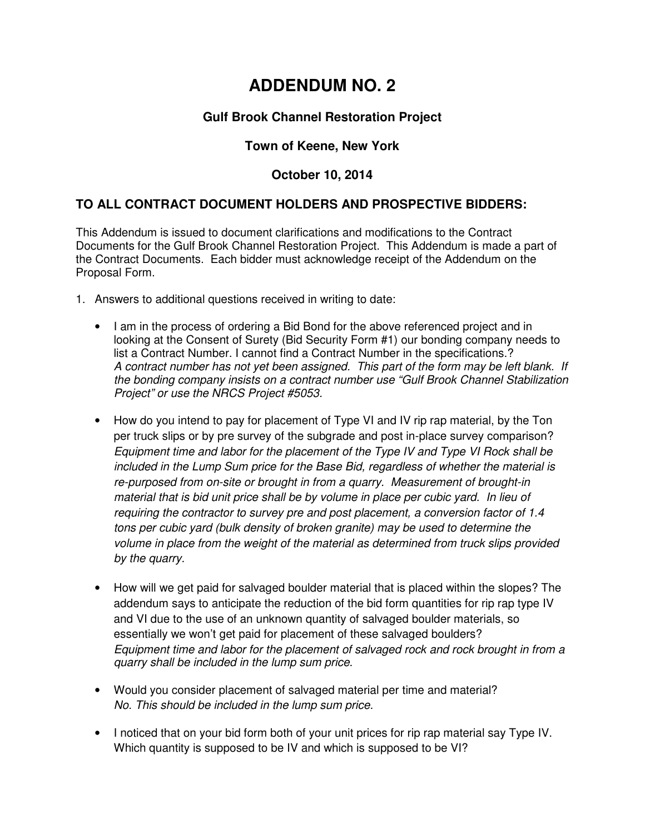# **ADDENDUM NO. 2**

## **Gulf Brook Channel Restoration Project**

#### **Town of Keene, New York**

### **October 10, 2014**

### **TO ALL CONTRACT DOCUMENT HOLDERS AND PROSPECTIVE BIDDERS:**

This Addendum is issued to document clarifications and modifications to the Contract Documents for the Gulf Brook Channel Restoration Project. This Addendum is made a part of the Contract Documents. Each bidder must acknowledge receipt of the Addendum on the Proposal Form.

- 1. Answers to additional questions received in writing to date:
	- I am in the process of ordering a Bid Bond for the above referenced project and in looking at the Consent of Surety (Bid Security Form #1) our bonding company needs to list a Contract Number. I cannot find a Contract Number in the specifications.? A contract number has not yet been assigned. This part of the form may be left blank. If the bonding company insists on a contract number use "Gulf Brook Channel Stabilization Project" or use the NRCS Project #5053.
	- How do you intend to pay for placement of Type VI and IV rip rap material, by the Ton per truck slips or by pre survey of the subgrade and post in-place survey comparison? Equipment time and labor for the placement of the Type IV and Type VI Rock shall be included in the Lump Sum price for the Base Bid, regardless of whether the material is re-purposed from on-site or brought in from a quarry. Measurement of brought-in material that is bid unit price shall be by volume in place per cubic yard. In lieu of requiring the contractor to survey pre and post placement, a conversion factor of 1.4 tons per cubic yard (bulk density of broken granite) may be used to determine the volume in place from the weight of the material as determined from truck slips provided by the quarry.
	- How will we get paid for salvaged boulder material that is placed within the slopes? The addendum says to anticipate the reduction of the bid form quantities for rip rap type IV and VI due to the use of an unknown quantity of salvaged boulder materials, so essentially we won't get paid for placement of these salvaged boulders? Equipment time and labor for the placement of salvaged rock and rock brought in from a quarry shall be included in the lump sum price.
	- Would you consider placement of salvaged material per time and material? No. This should be included in the lump sum price.
	- I noticed that on your bid form both of your unit prices for rip rap material say Type IV. Which quantity is supposed to be IV and which is supposed to be VI?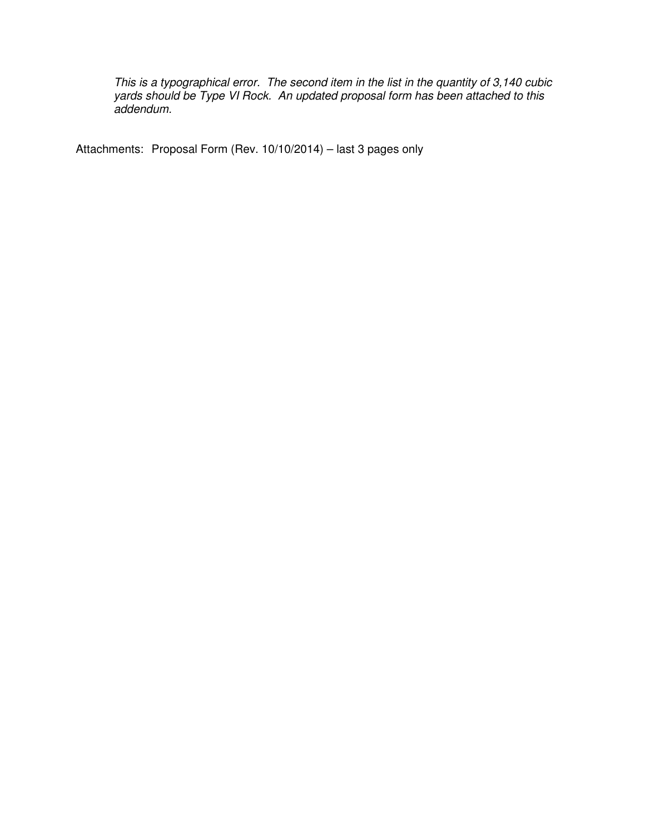This is a typographical error. The second item in the list in the quantity of 3,140 cubic yards should be Type VI Rock. An updated proposal form has been attached to this addendum.

Attachments: Proposal Form (Rev. 10/10/2014) – last 3 pages only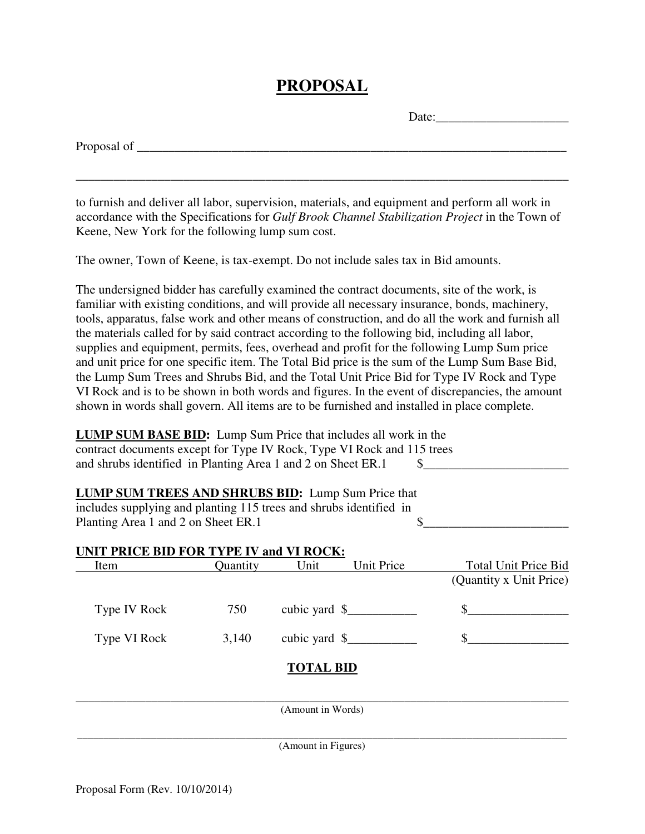## **PROPOSAL**

Date:

\_\_\_\_\_\_\_\_\_\_\_\_\_\_\_\_\_\_\_\_\_\_\_\_\_\_\_\_\_\_\_\_\_\_\_\_\_\_\_\_\_\_\_\_\_\_\_\_\_\_\_\_\_\_\_\_\_\_\_\_\_\_\_\_\_\_\_\_\_\_\_\_\_\_\_\_\_\_

to furnish and deliver all labor, supervision, materials, and equipment and perform all work in accordance with the Specifications for *Gulf Brook Channel Stabilization Project* in the Town of Keene, New York for the following lump sum cost.

The owner, Town of Keene, is tax-exempt. Do not include sales tax in Bid amounts.

The undersigned bidder has carefully examined the contract documents, site of the work, is familiar with existing conditions, and will provide all necessary insurance, bonds, machinery, tools, apparatus, false work and other means of construction, and do all the work and furnish all the materials called for by said contract according to the following bid, including all labor, supplies and equipment, permits, fees, overhead and profit for the following Lump Sum price and unit price for one specific item. The Total Bid price is the sum of the Lump Sum Base Bid, the Lump Sum Trees and Shrubs Bid, and the Total Unit Price Bid for Type IV Rock and Type VI Rock and is to be shown in both words and figures. In the event of discrepancies, the amount shown in words shall govern. All items are to be furnished and installed in place complete.

**LUMP SUM BASE BID:** Lump Sum Price that includes all work in the contract documents except for Type IV Rock, Type VI Rock and 115 trees and shrubs identified in Planting Area 1 and 2 on Sheet ER.1  $\qquad$  \$

| LUMP SUM TREES AND SHRUBS BID: Lump Sum Price that                 |          |                          |            |                         |
|--------------------------------------------------------------------|----------|--------------------------|------------|-------------------------|
| includes supplying and planting 115 trees and shrubs identified in |          |                          |            |                         |
| Planting Area 1 and 2 on Sheet ER.1                                |          |                          |            |                         |
| <b>UNIT PRICE BID FOR TYPE IV and VI ROCK:</b>                     |          |                          |            |                         |
| Item                                                               | Quantity | Unit                     | Unit Price | Total Unit Price Bid    |
|                                                                    |          |                          |            | (Quantity x Unit Price) |
| Type IV Rock                                                       | 750      | cubic yard $\frac{1}{2}$ |            |                         |

**TOTAL BID** 

Type VI Rock  $3,140$  cubic yard  $\text{\$}$ 

\_\_\_\_\_\_\_\_\_\_\_\_\_\_\_\_\_\_\_\_\_\_\_\_\_\_\_\_\_\_\_\_\_\_\_\_\_\_\_\_\_\_\_\_\_\_\_\_\_\_\_\_\_\_\_\_\_\_\_\_\_\_\_\_\_\_\_\_\_\_\_\_\_\_\_\_\_\_ (Amount in Words)

\_\_\_\_\_\_\_\_\_\_\_\_\_\_\_\_\_\_\_\_\_\_\_\_\_\_\_\_\_\_\_\_\_\_\_\_\_\_\_\_\_\_\_\_\_\_\_\_\_\_\_\_\_\_\_\_\_\_\_\_\_\_\_\_\_\_\_\_\_\_\_\_\_\_\_\_\_\_\_\_\_\_\_\_\_\_\_\_\_\_\_\_\_ (Amount in Figures)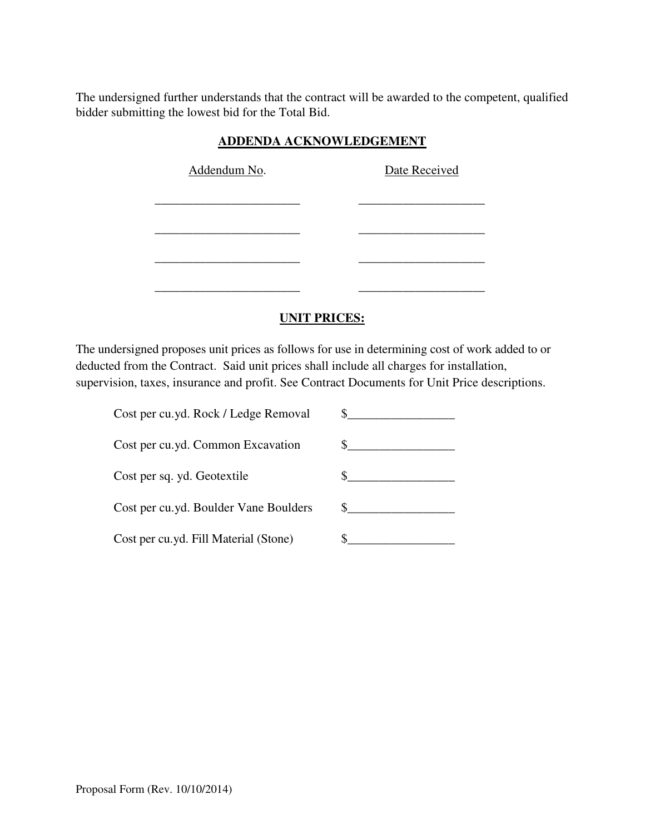The undersigned further understands that the contract will be awarded to the competent, qualified bidder submitting the lowest bid for the Total Bid.

| ADDERDA AUNROWEEDGEMERT |  |               |  |  |
|-------------------------|--|---------------|--|--|
| Addendum No.            |  | Date Received |  |  |
|                         |  |               |  |  |
|                         |  |               |  |  |
|                         |  |               |  |  |
|                         |  |               |  |  |

#### **ADDENDA ACKNOWLEDGEMENT**

#### **UNIT PRICES:**

The undersigned proposes unit prices as follows for use in determining cost of work added to or deducted from the Contract. Said unit prices shall include all charges for installation, supervision, taxes, insurance and profit. See Contract Documents for Unit Price descriptions.

| Cost per cu.yd. Rock / Ledge Removal  |  |
|---------------------------------------|--|
| Cost per cu.yd. Common Excavation     |  |
| Cost per sq. yd. Geotextile           |  |
| Cost per cu.yd. Boulder Vane Boulders |  |
| Cost per cu.yd. Fill Material (Stone) |  |